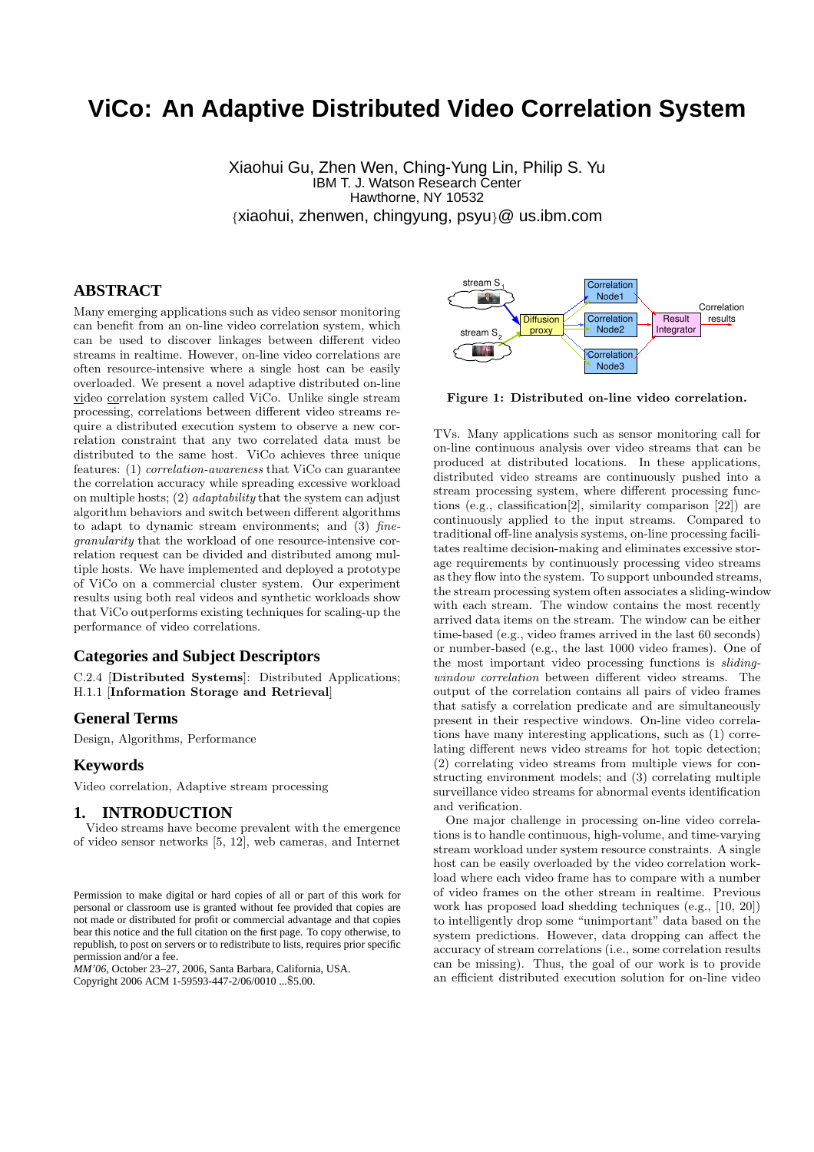# **ViCo: An Adaptive Distributed Video Correlation System**

Xiaohui Gu, Zhen Wen, Ching-Yung Lin, Philip S. Yu IBM T. J. Watson Research Center Hawthorne, NY 10532 {xiaohui, zhenwen, chingyung, psyu}@ us.ibm.com

# **ABSTRACT**

Many emerging applications such as video sensor monitoring can benefit from an on-line video correlation system, which can be used to discover linkages between different video streams in realtime. However, on-line video correlations are often resource-intensive where a single host can be easily overloaded. We present a novel adaptive distributed on-line video correlation system called ViCo. Unlike single stream processing, correlations between different video streams require a distributed execution system to observe a new correlation constraint that any two correlated data must be distributed to the same host. ViCo achieves three unique features: (1) correlation-awareness that ViCo can guarantee the correlation accuracy while spreading excessive workload on multiple hosts; (2) adaptability that the system can adjust algorithm behaviors and switch between different algorithms to adapt to dynamic stream environments; and (3) finegranularity that the workload of one resource-intensive correlation request can be divided and distributed among multiple hosts. We have implemented and deployed a prototype of ViCo on a commercial cluster system. Our experiment results using both real videos and synthetic workloads show that ViCo outperforms existing techniques for scaling-up the performance of video correlations.

## **Categories and Subject Descriptors**

C.2.4 [Distributed Systems]: Distributed Applications; H.1.1 [Information Storage and Retrieval]

#### **General Terms**

Design, Algorithms, Performance

## **Keywords**

Video correlation, Adaptive stream processing

#### **1. INTRODUCTION**

Video streams have become prevalent with the emergence of video sensor networks [5, 12], web cameras, and Internet

*MM'06,* October 23–27, 2006, Santa Barbara, California, USA. Copyright 2006 ACM 1-59593-447-2/06/0010 ...\$5.00.



Figure 1: Distributed on-line video correlation.

TVs. Many applications such as sensor monitoring call for on-line continuous analysis over video streams that can be produced at distributed locations. In these applications, distributed video streams are continuously pushed into a stream processing system, where different processing functions (e.g., classification[2], similarity comparison [22]) are continuously applied to the input streams. Compared to traditional off-line analysis systems, on-line processing facilitates realtime decision-making and eliminates excessive storage requirements by continuously processing video streams as they flow into the system. To support unbounded streams, the stream processing system often associates a sliding-window with each stream. The window contains the most recently arrived data items on the stream. The window can be either time-based (e.g., video frames arrived in the last 60 seconds) or number-based (e.g., the last 1000 video frames). One of the most important video processing functions is slidingwindow correlation between different video streams. The output of the correlation contains all pairs of video frames that satisfy a correlation predicate and are simultaneously present in their respective windows. On-line video correlations have many interesting applications, such as (1) correlating different news video streams for hot topic detection; (2) correlating video streams from multiple views for constructing environment models; and (3) correlating multiple surveillance video streams for abnormal events identification and verification.

One major challenge in processing on-line video correlations is to handle continuous, high-volume, and time-varying stream workload under system resource constraints. A single host can be easily overloaded by the video correlation workload where each video frame has to compare with a number of video frames on the other stream in realtime. Previous work has proposed load shedding techniques (e.g., [10, 20]) to intelligently drop some "unimportant" data based on the system predictions. However, data dropping can affect the accuracy of stream correlations (i.e., some correlation results can be missing). Thus, the goal of our work is to provide an efficient distributed execution solution for on-line video

Permission to make digital or hard copies of all or part of this work for personal or classroom use is granted without fee provided that copies are not made or distributed for profit or commercial advantage and that copies bear this notice and the full citation on the first page. To copy otherwise, to republish, to post on servers or to redistribute to lists, requires prior specific permission and/or a fee.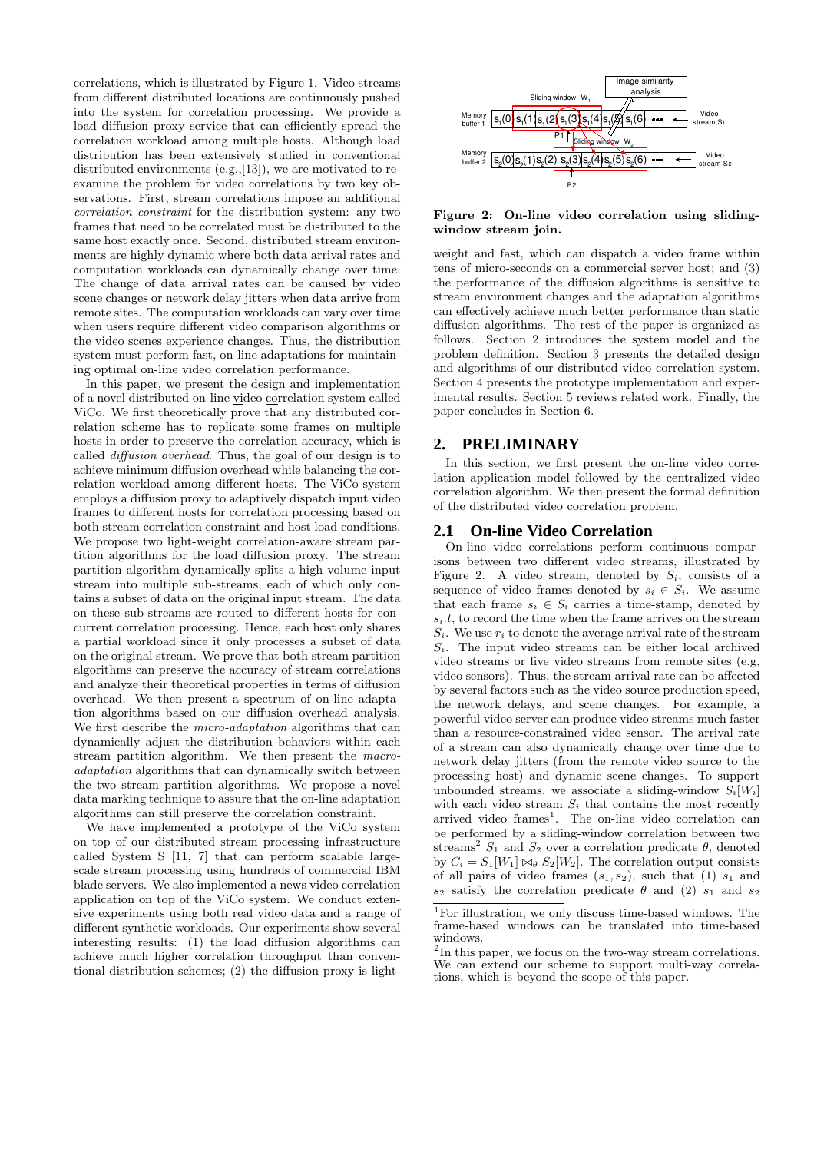correlations, which is illustrated by Figure 1. Video streams from different distributed locations are continuously pushed into the system for correlation processing. We provide a load diffusion proxy service that can efficiently spread the correlation workload among multiple hosts. Although load distribution has been extensively studied in conventional distributed environments (e.g.,[13]), we are motivated to reexamine the problem for video correlations by two key observations. First, stream correlations impose an additional correlation constraint for the distribution system: any two frames that need to be correlated must be distributed to the same host exactly once. Second, distributed stream environments are highly dynamic where both data arrival rates and computation workloads can dynamically change over time. The change of data arrival rates can be caused by video scene changes or network delay jitters when data arrive from remote sites. The computation workloads can vary over time when users require different video comparison algorithms or the video scenes experience changes. Thus, the distribution system must perform fast, on-line adaptations for maintaining optimal on-line video correlation performance.

In this paper, we present the design and implementation of a novel distributed on-line video correlation system called ViCo. We first theoretically prove that any distributed correlation scheme has to replicate some frames on multiple hosts in order to preserve the correlation accuracy, which is called diffusion overhead. Thus, the goal of our design is to achieve minimum diffusion overhead while balancing the correlation workload among different hosts. The ViCo system employs a diffusion proxy to adaptively dispatch input video frames to different hosts for correlation processing based on both stream correlation constraint and host load conditions. We propose two light-weight correlation-aware stream partition algorithms for the load diffusion proxy. The stream partition algorithm dynamically splits a high volume input stream into multiple sub-streams, each of which only contains a subset of data on the original input stream. The data on these sub-streams are routed to different hosts for concurrent correlation processing. Hence, each host only shares a partial workload since it only processes a subset of data on the original stream. We prove that both stream partition algorithms can preserve the accuracy of stream correlations and analyze their theoretical properties in terms of diffusion overhead. We then present a spectrum of on-line adaptation algorithms based on our diffusion overhead analysis. We first describe the *micro-adaptation* algorithms that can dynamically adjust the distribution behaviors within each stream partition algorithm. We then present the macroadaptation algorithms that can dynamically switch between the two stream partition algorithms. We propose a novel data marking technique to assure that the on-line adaptation algorithms can still preserve the correlation constraint.

We have implemented a prototype of the ViCo system on top of our distributed stream processing infrastructure called System S [11, 7] that can perform scalable largescale stream processing using hundreds of commercial IBM blade servers. We also implemented a news video correlation application on top of the ViCo system. We conduct extensive experiments using both real video data and a range of different synthetic workloads. Our experiments show several interesting results: (1) the load diffusion algorithms can achieve much higher correlation throughput than conventional distribution schemes; (2) the diffusion proxy is light-



Figure 2: On-line video correlation using slidingwindow stream join.

weight and fast, which can dispatch a video frame within tens of micro-seconds on a commercial server host; and (3) the performance of the diffusion algorithms is sensitive to stream environment changes and the adaptation algorithms can effectively achieve much better performance than static diffusion algorithms. The rest of the paper is organized as follows. Section 2 introduces the system model and the problem definition. Section 3 presents the detailed design and algorithms of our distributed video correlation system. Section 4 presents the prototype implementation and experimental results. Section 5 reviews related work. Finally, the paper concludes in Section 6.

## **2. PRELIMINARY**

In this section, we first present the on-line video correlation application model followed by the centralized video correlation algorithm. We then present the formal definition of the distributed video correlation problem.

#### **2.1 On-line Video Correlation**

On-line video correlations perform continuous comparisons between two different video streams, illustrated by Figure 2. A video stream, denoted by  $S_i$ , consists of a sequence of video frames denoted by  $s_i \in S_i$ . We assume that each frame  $s_i \in S_i$  carries a time-stamp, denoted by  $s_i.t$ , to record the time when the frame arrives on the stream  $S_i$ . We use  $r_i$  to denote the average arrival rate of the stream  $S_i$ . The input video streams can be either local archived video streams or live video streams from remote sites (e.g, video sensors). Thus, the stream arrival rate can be affected by several factors such as the video source production speed, the network delays, and scene changes. For example, a powerful video server can produce video streams much faster than a resource-constrained video sensor. The arrival rate of a stream can also dynamically change over time due to network delay jitters (from the remote video source to the processing host) and dynamic scene changes. To support unbounded streams, we associate a sliding-window  $S_i[W_i]$ with each video stream  $S_i$  that contains the most recently arrived video frames<sup>1</sup>. The on-line video correlation can be performed by a sliding-window correlation between two streams<sup>2</sup>  $S_1$  and  $S_2$  over a correlation predicate  $\theta$ , denoted by  $C_i = S_1[W_1] \bowtie_{\theta} S_2[W_2]$ . The correlation output consists of all pairs of video frames  $(s_1, s_2)$ , such that  $(1)$   $s_1$  and s<sub>2</sub> satisfy the correlation predicate  $\theta$  and (2) s<sub>1</sub> and s<sub>2</sub>

<sup>1</sup>For illustration, we only discuss time-based windows. The frame-based windows can be translated into time-based windows.

 $2<sup>2</sup>$ In this paper, we focus on the two-way stream correlations. We can extend our scheme to support multi-way correlations, which is beyond the scope of this paper.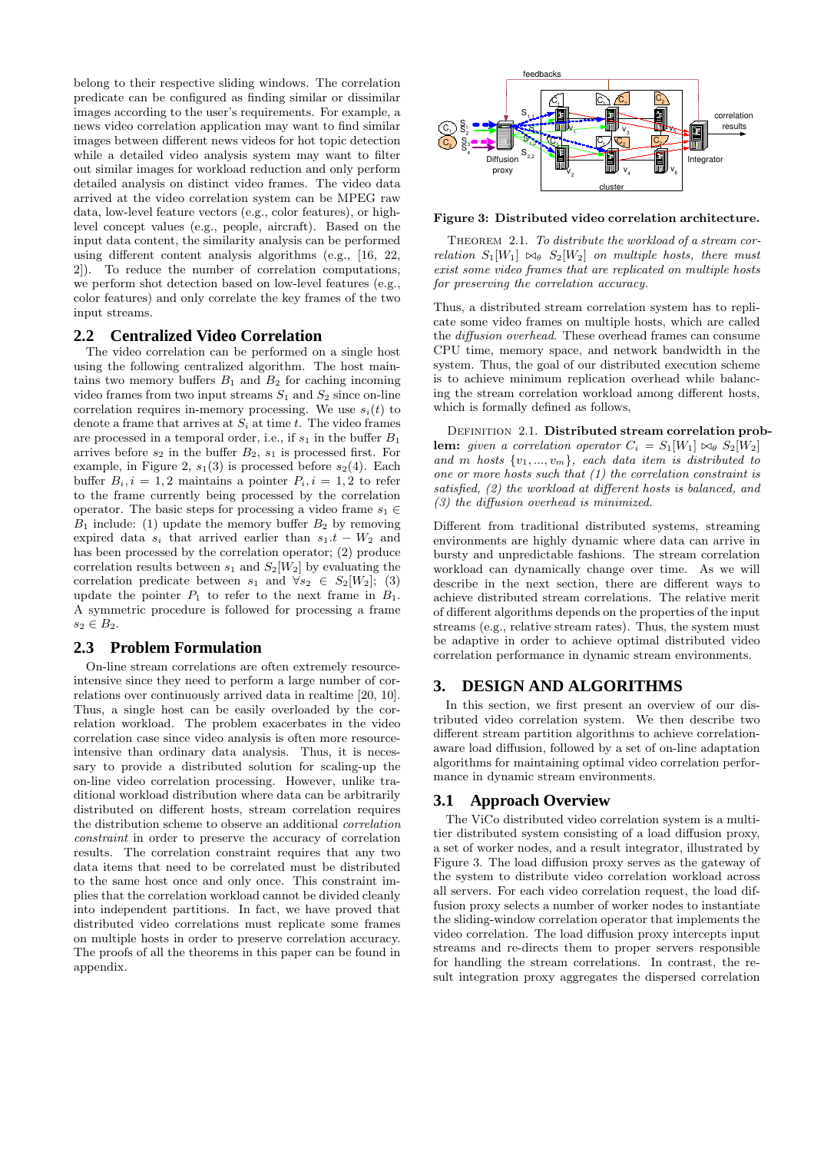belong to their respective sliding windows. The correlation predicate can be configured as finding similar or dissimilar images according to the user's requirements. For example, a news video correlation application may want to find similar images between different news videos for hot topic detection while a detailed video analysis system may want to filter out similar images for workload reduction and only perform detailed analysis on distinct video frames. The video data arrived at the video correlation system can be MPEG raw data, low-level feature vectors (e.g., color features), or highlevel concept values (e.g., people, aircraft). Based on the input data content, the similarity analysis can be performed using different content analysis algorithms (e.g., [16, 22, 2]). To reduce the number of correlation computations, we perform shot detection based on low-level features (e.g., color features) and only correlate the key frames of the two input streams.

## **2.2 Centralized Video Correlation**

The video correlation can be performed on a single host using the following centralized algorithm. The host maintains two memory buffers  $B_1$  and  $B_2$  for caching incoming video frames from two input streams  $S_1$  and  $S_2$  since on-line correlation requires in-memory processing. We use  $s_i(t)$  to denote a frame that arrives at  $S_i$  at time t. The video frames are processed in a temporal order, i.e., if  $s_1$  in the buffer  $B_1$ arrives before  $s_2$  in the buffer  $B_2$ ,  $s_1$  is processed first. For example, in Figure 2,  $s_1(3)$  is processed before  $s_2(4)$ . Each buffer  $B_i$ ,  $i = 1, 2$  maintains a pointer  $P_i$ ,  $i = 1, 2$  to refer to the frame currently being processed by the correlation operator. The basic steps for processing a video frame  $s_1 \in$  $B_1$  include: (1) update the memory buffer  $B_2$  by removing expired data  $s_i$  that arrived earlier than  $s_1.t - W_2$  and has been processed by the correlation operator; (2) produce correlation results between  $s_1$  and  $S_2[W_2]$  by evaluating the correlation predicate between  $s_1$  and  $\forall s_2 \in S_2[W_2]$ ; (3) update the pointer  $P_1$  to refer to the next frame in  $B_1$ . A symmetric procedure is followed for processing a frame  $s_2 \in B_2$ .

#### **2.3 Problem Formulation**

On-line stream correlations are often extremely resourceintensive since they need to perform a large number of correlations over continuously arrived data in realtime [20, 10]. Thus, a single host can be easily overloaded by the correlation workload. The problem exacerbates in the video correlation case since video analysis is often more resourceintensive than ordinary data analysis. Thus, it is necessary to provide a distributed solution for scaling-up the on-line video correlation processing. However, unlike traditional workload distribution where data can be arbitrarily distributed on different hosts, stream correlation requires the distribution scheme to observe an additional correlation constraint in order to preserve the accuracy of correlation results. The correlation constraint requires that any two data items that need to be correlated must be distributed to the same host once and only once. This constraint implies that the correlation workload cannot be divided cleanly into independent partitions. In fact, we have proved that distributed video correlations must replicate some frames on multiple hosts in order to preserve correlation accuracy. The proofs of all the theorems in this paper can be found in appendix.



Figure 3: Distributed video correlation architecture.

THEOREM 2.1. To distribute the workload of a stream correlation  $S_1[W_1] \bowtie_{\theta} S_2[W_2]$  on multiple hosts, there must exist some video frames that are replicated on multiple hosts for preserving the correlation accuracy.

Thus, a distributed stream correlation system has to replicate some video frames on multiple hosts, which are called the diffusion overhead. These overhead frames can consume CPU time, memory space, and network bandwidth in the system. Thus, the goal of our distributed execution scheme is to achieve minimum replication overhead while balancing the stream correlation workload among different hosts, which is formally defined as follows,

DEFINITION 2.1. Distributed stream correlation prob**lem:** given a correlation operator  $C_i = S_1[W_1] \bowtie_{\theta} S_2[W_2]$ and m hosts  $\{v_1, ..., v_m\}$ , each data item is distributed to one or more hosts such that (1) the correlation constraint is satisfied, (2) the workload at different hosts is balanced, and (3) the diffusion overhead is minimized.

Different from traditional distributed systems, streaming environments are highly dynamic where data can arrive in bursty and unpredictable fashions. The stream correlation workload can dynamically change over time. As we will describe in the next section, there are different ways to achieve distributed stream correlations. The relative merit of different algorithms depends on the properties of the input streams (e.g., relative stream rates). Thus, the system must be adaptive in order to achieve optimal distributed video correlation performance in dynamic stream environments.

# **3. DESIGN AND ALGORITHMS**

In this section, we first present an overview of our distributed video correlation system. We then describe two different stream partition algorithms to achieve correlationaware load diffusion, followed by a set of on-line adaptation algorithms for maintaining optimal video correlation performance in dynamic stream environments.

#### **3.1 Approach Overview**

The ViCo distributed video correlation system is a multitier distributed system consisting of a load diffusion proxy, a set of worker nodes, and a result integrator, illustrated by Figure 3. The load diffusion proxy serves as the gateway of the system to distribute video correlation workload across all servers. For each video correlation request, the load diffusion proxy selects a number of worker nodes to instantiate the sliding-window correlation operator that implements the video correlation. The load diffusion proxy intercepts input streams and re-directs them to proper servers responsible for handling the stream correlations. In contrast, the result integration proxy aggregates the dispersed correlation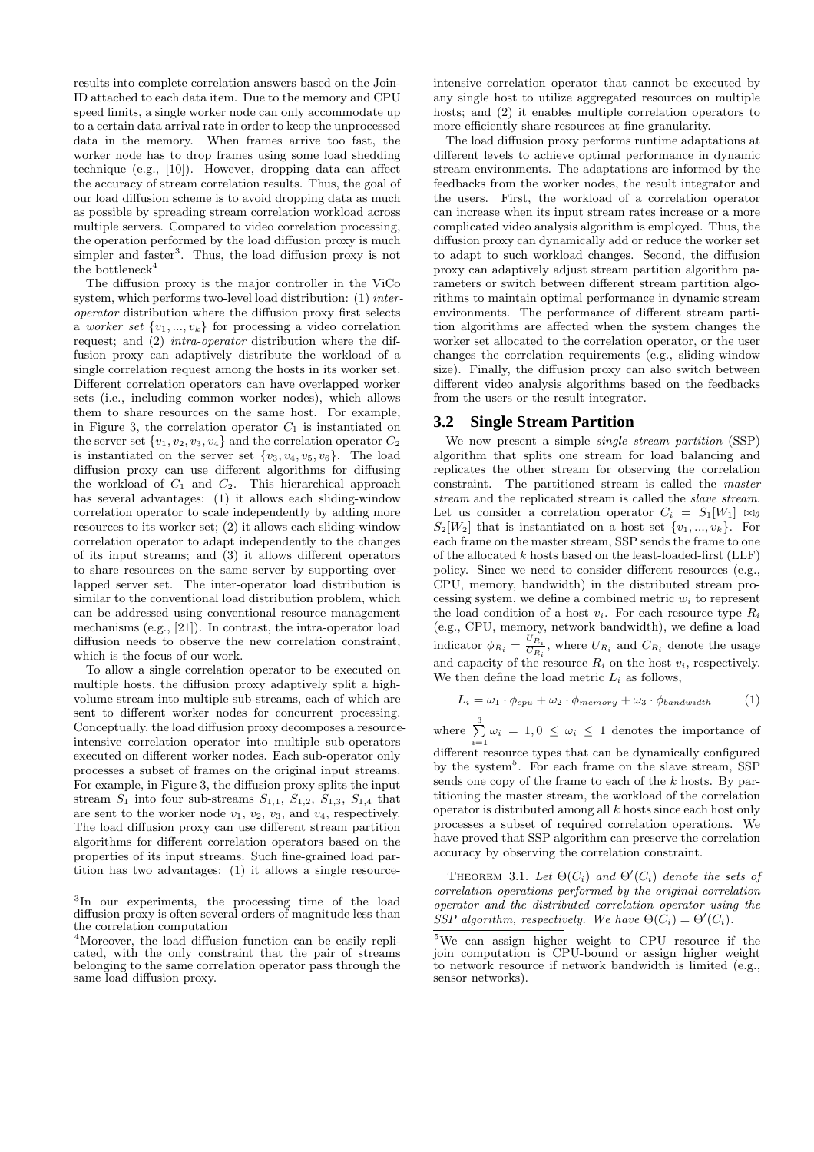results into complete correlation answers based on the Join-ID attached to each data item. Due to the memory and CPU speed limits, a single worker node can only accommodate up to a certain data arrival rate in order to keep the unprocessed data in the memory. When frames arrive too fast, the worker node has to drop frames using some load shedding technique (e.g., [10]). However, dropping data can affect the accuracy of stream correlation results. Thus, the goal of our load diffusion scheme is to avoid dropping data as much as possible by spreading stream correlation workload across multiple servers. Compared to video correlation processing, the operation performed by the load diffusion proxy is much simpler and faster<sup>3</sup>. Thus, the load diffusion proxy is not the bottleneck $4$ 

The diffusion proxy is the major controller in the ViCo system, which performs two-level load distribution: (1) *inter*operator distribution where the diffusion proxy first selects a worker set  $\{v_1, ..., v_k\}$  for processing a video correlation request; and (2) intra-operator distribution where the diffusion proxy can adaptively distribute the workload of a single correlation request among the hosts in its worker set. Different correlation operators can have overlapped worker sets (i.e., including common worker nodes), which allows them to share resources on the same host. For example, in Figure 3, the correlation operator  $C_1$  is instantiated on the server set  $\{v_1, v_2, v_3, v_4\}$  and the correlation operator  $C_2$ is instantiated on the server set  $\{v_3, v_4, v_5, v_6\}$ . The load diffusion proxy can use different algorithms for diffusing the workload of  $C_1$  and  $C_2$ . This hierarchical approach has several advantages: (1) it allows each sliding-window correlation operator to scale independently by adding more resources to its worker set; (2) it allows each sliding-window correlation operator to adapt independently to the changes of its input streams; and (3) it allows different operators to share resources on the same server by supporting overlapped server set. The inter-operator load distribution is similar to the conventional load distribution problem, which can be addressed using conventional resource management mechanisms (e.g., [21]). In contrast, the intra-operator load diffusion needs to observe the new correlation constraint, which is the focus of our work.

To allow a single correlation operator to be executed on multiple hosts, the diffusion proxy adaptively split a highvolume stream into multiple sub-streams, each of which are sent to different worker nodes for concurrent processing. Conceptually, the load diffusion proxy decomposes a resourceintensive correlation operator into multiple sub-operators executed on different worker nodes. Each sub-operator only processes a subset of frames on the original input streams. For example, in Figure 3, the diffusion proxy splits the input stream  $S_1$  into four sub-streams  $S_{1,1}$ ,  $S_{1,2}$ ,  $S_{1,3}$ ,  $S_{1,4}$  that are sent to the worker node  $v_1, v_2, v_3$ , and  $v_4$ , respectively. The load diffusion proxy can use different stream partition algorithms for different correlation operators based on the properties of its input streams. Such fine-grained load partition has two advantages: (1) it allows a single resource-

intensive correlation operator that cannot be executed by any single host to utilize aggregated resources on multiple hosts; and (2) it enables multiple correlation operators to more efficiently share resources at fine-granularity.

The load diffusion proxy performs runtime adaptations at different levels to achieve optimal performance in dynamic stream environments. The adaptations are informed by the feedbacks from the worker nodes, the result integrator and the users. First, the workload of a correlation operator can increase when its input stream rates increase or a more complicated video analysis algorithm is employed. Thus, the diffusion proxy can dynamically add or reduce the worker set to adapt to such workload changes. Second, the diffusion proxy can adaptively adjust stream partition algorithm parameters or switch between different stream partition algorithms to maintain optimal performance in dynamic stream environments. The performance of different stream partition algorithms are affected when the system changes the worker set allocated to the correlation operator, or the user changes the correlation requirements (e.g., sliding-window size). Finally, the diffusion proxy can also switch between different video analysis algorithms based on the feedbacks from the users or the result integrator.

### **3.2 Single Stream Partition**

We now present a simple single stream partition (SSP) algorithm that splits one stream for load balancing and replicates the other stream for observing the correlation constraint. The partitioned stream is called the master stream and the replicated stream is called the slave stream. Let us consider a correlation operator  $C_i = S_1[W_1] \bowtie_{\theta}$  $S_2[W_2]$  that is instantiated on a host set  $\{v_1, ..., v_k\}$ . For each frame on the master stream, SSP sends the frame to one of the allocated  $k$  hosts based on the least-loaded-first (LLF) policy. Since we need to consider different resources (e.g., CPU, memory, bandwidth) in the distributed stream processing system, we define a combined metric  $w_i$  to represent the load condition of a host  $v_i$ . For each resource type  $R_i$ (e.g., CPU, memory, network bandwidth), we define a load indicator  $\phi_{R_i} = \frac{U_{R_i}}{C_{R_i}}$  $\frac{C_{R_i}}{C_{R_i}}$ , where  $U_{R_i}$  and  $C_{R_i}$  denote the usage and capacity of the resource  $R_i$  on the host  $v_i$ , respectively. We then define the load metric  $L_i$  as follows,

$$
L_i = \omega_1 \cdot \phi_{cpu} + \omega_2 \cdot \phi_{memory} + \omega_3 \cdot \phi_{bandwidth}
$$
 (1)

where  $\sum_{i=1}^{3} \omega_i = 1, 0 \leq \omega_i \leq 1$  denotes the importance of different resource types that can be dynamically configured by the system<sup>5</sup>. For each frame on the slave stream, SSP sends one copy of the frame to each of the  $k$  hosts. By partitioning the master stream, the workload of the correlation operator is distributed among all  $k$  hosts since each host only processes a subset of required correlation operations. We have proved that SSP algorithm can preserve the correlation accuracy by observing the correlation constraint.

THEOREM 3.1. Let  $\Theta(C_i)$  and  $\Theta'(C_i)$  denote the sets of correlation operations performed by the original correlation operator and the distributed correlation operator using the SSP algorithm, respectively. We have  $\Theta(C_i) = \Theta'(C_i)$ .

<sup>3</sup> In our experiments, the processing time of the load diffusion proxy is often several orders of magnitude less than the correlation computation

<sup>4</sup>Moreover, the load diffusion function can be easily replicated, with the only constraint that the pair of streams belonging to the same correlation operator pass through the same load diffusion proxy.

<sup>&</sup>lt;sup>5</sup>We can assign higher weight to CPU resource if the join computation is CPU-bound or assign higher weight to network resource if network bandwidth is limited (e.g., sensor networks).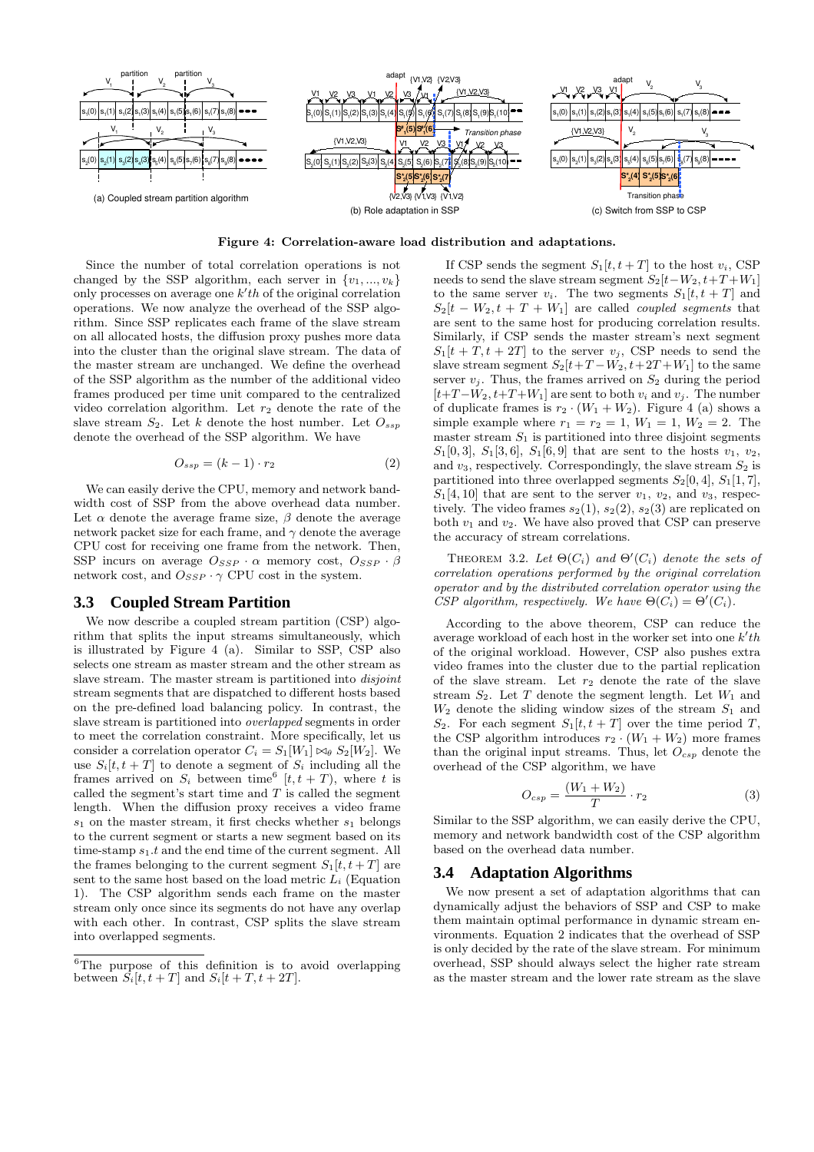

Figure 4: Correlation-aware load distribution and adaptations.

Since the number of total correlation operations is not changed by the SSP algorithm, each server in  $\{v_1, ..., v_k\}$ only processes on average one  $k'$ th of the original correlation operations. We now analyze the overhead of the SSP algorithm. Since SSP replicates each frame of the slave stream on all allocated hosts, the diffusion proxy pushes more data into the cluster than the original slave stream. The data of the master stream are unchanged. We define the overhead of the SSP algorithm as the number of the additional video frames produced per time unit compared to the centralized video correlation algorithm. Let  $r_2$  denote the rate of the slave stream  $S_2$ . Let k denote the host number. Let  $O_{ssp}$ denote the overhead of the SSP algorithm. We have

$$
O_{ssp} = (k-1) \cdot r_2 \tag{2}
$$

We can easily derive the CPU, memory and network bandwidth cost of SSP from the above overhead data number. Let  $\alpha$  denote the average frame size,  $\beta$  denote the average network packet size for each frame, and  $\gamma$  denote the average CPU cost for receiving one frame from the network. Then, SSP incurs on average  $O_{SSP} \cdot \alpha$  memory cost,  $O_{SSP} \cdot \beta$ network cost, and  $O_{SSP} \cdot \gamma$  CPU cost in the system.

#### **3.3 Coupled Stream Partition**

We now describe a coupled stream partition (CSP) algorithm that splits the input streams simultaneously, which is illustrated by Figure 4 (a). Similar to SSP, CSP also selects one stream as master stream and the other stream as slave stream. The master stream is partitioned into *disjoint* stream segments that are dispatched to different hosts based on the pre-defined load balancing policy. In contrast, the slave stream is partitioned into overlapped segments in order to meet the correlation constraint. More specifically, let us consider a correlation operator  $C_i = S_1[W_1] \bowtie_{\theta} S_2[W_2]$ . We use  $S_i[t, t + T]$  to denote a segment of  $S_i$  including all the frames arrived on  $S_i$  between time<sup>6</sup>  $[t, t + T)$ , where t is called the segment's start time and  $T$  is called the segment length. When the diffusion proxy receives a video frame  $s_1$  on the master stream, it first checks whether  $s_1$  belongs to the current segment or starts a new segment based on its time-stamp  $s_1.t$  and the end time of the current segment. All the frames belonging to the current segment  $S_1[t, t+T]$  are sent to the same host based on the load metric  $L_i$  (Equation 1). The CSP algorithm sends each frame on the master stream only once since its segments do not have any overlap with each other. In contrast, CSP splits the slave stream into overlapped segments.

If CSP sends the segment  $S_1[t, t+T]$  to the host  $v_i$ , CSP needs to send the slave stream segment  $S_2[t-W_2, t+T+W_1]$ to the same server  $v_i$ . The two segments  $S_1[t, t+T]$  and  $S_2[t - W_2, t + T + W_1]$  are called *coupled segments* that are sent to the same host for producing correlation results. Similarly, if CSP sends the master stream's next segment  $S_1[t + T, t + 2T]$  to the server  $v_j$ , CSP needs to send the slave stream segment  $S_2[t+T-W_2, t+2T+W_1]$  to the same server  $v_i$ . Thus, the frames arrived on  $S_2$  during the period  $[t+T-W_2, t+T+W_1]$  are sent to both  $v_i$  and  $v_j$ . The number of duplicate frames is  $r_2 \cdot (W_1 + W_2)$ . Figure 4 (a) shows a simple example where  $r_1 = r_2 = 1$ ,  $W_1 = 1$ ,  $W_2 = 2$ . The master stream  $S_1$  is partitioned into three disjoint segments  $S_1[0,3], S_1[3,6], S_1[6,9]$  that are sent to the hosts  $v_1, v_2$ , and  $v_3$ , respectively. Correspondingly, the slave stream  $S_2$  is partitioned into three overlapped segments  $S_2[0,4], S_1[1,7],$  $S_1[4, 10]$  that are sent to the server  $v_1, v_2$ , and  $v_3$ , respectively. The video frames  $s_2(1)$ ,  $s_2(2)$ ,  $s_2(3)$  are replicated on both  $v_1$  and  $v_2$ . We have also proved that CSP can preserve the accuracy of stream correlations.

THEOREM 3.2. Let  $\Theta(C_i)$  and  $\Theta'(C_i)$  denote the sets of correlation operations performed by the original correlation operator and by the distributed correlation operator using the CSP algorithm, respectively. We have  $\Theta(C_i) = \Theta'(C_i)$ .

According to the above theorem, CSP can reduce the average workload of each host in the worker set into one  $k'$ th of the original workload. However, CSP also pushes extra video frames into the cluster due to the partial replication of the slave stream. Let  $r_2$  denote the rate of the slave stream  $S_2$ . Let T denote the segment length. Let  $W_1$  and  $W_2$  denote the sliding window sizes of the stream  $S_1$  and  $S_2$ . For each segment  $S_1[t, t + T]$  over the time period T, the CSP algorithm introduces  $r_2 \cdot (W_1 + W_2)$  more frames than the original input streams. Thus, let  $O_{csp}$  denote the overhead of the CSP algorithm, we have

$$
O_{csp} = \frac{(W_1 + W_2)}{T} \cdot r_2 \tag{3}
$$

Similar to the SSP algorithm, we can easily derive the CPU, memory and network bandwidth cost of the CSP algorithm based on the overhead data number.

#### **3.4 Adaptation Algorithms**

We now present a set of adaptation algorithms that can dynamically adjust the behaviors of SSP and CSP to make them maintain optimal performance in dynamic stream environments. Equation 2 indicates that the overhead of SSP is only decided by the rate of the slave stream. For minimum overhead, SSP should always select the higher rate stream as the master stream and the lower rate stream as the slave

<sup>&</sup>lt;sup>6</sup>The purpose of this definition is to avoid overlapping between  $\overline{S}_i[t, t+T]$  and  $S_i[t+T, t+2T]$ .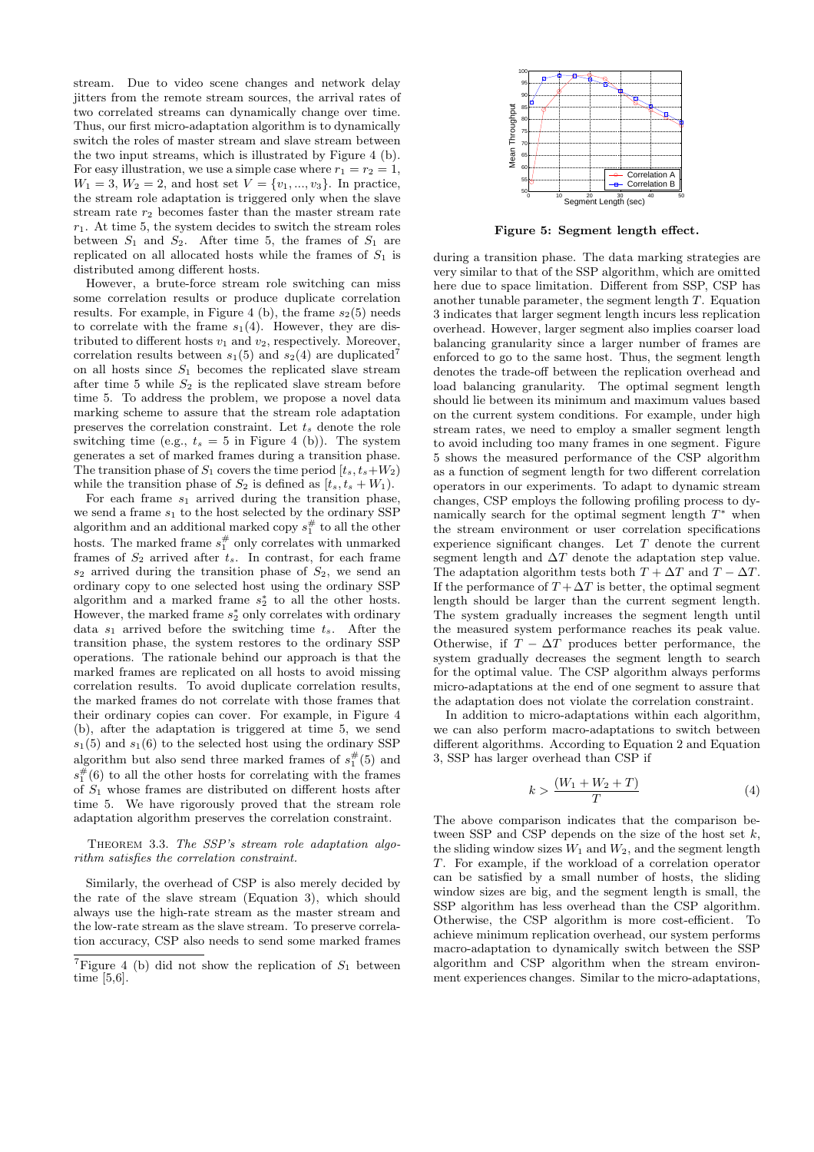stream. Due to video scene changes and network delay jitters from the remote stream sources, the arrival rates of two correlated streams can dynamically change over time. Thus, our first micro-adaptation algorithm is to dynamically switch the roles of master stream and slave stream between the two input streams, which is illustrated by Figure 4 (b). For easy illustration, we use a simple case where  $r_1 = r_2 = 1$ ,  $W_1 = 3, W_2 = 2,$  and host set  $V = \{v_1, ..., v_3\}.$  In practice, the stream role adaptation is triggered only when the slave stream rate  $r_2$  becomes faster than the master stream rate  $r_1$ . At time 5, the system decides to switch the stream roles between  $S_1$  and  $S_2$ . After time 5, the frames of  $S_1$  are replicated on all allocated hosts while the frames of  $S_1$  is distributed among different hosts.

However, a brute-force stream role switching can miss some correlation results or produce duplicate correlation results. For example, in Figure 4 (b), the frame  $s_2(5)$  needs to correlate with the frame  $s_1(4)$ . However, they are distributed to different hosts  $v_1$  and  $v_2$ , respectively. Moreover, correlation results between  $s_1(5)$  and  $s_2(4)$  are duplicated<sup>7</sup> on all hosts since  $S_1$  becomes the replicated slave stream after time 5 while  $S_2$  is the replicated slave stream before time 5. To address the problem, we propose a novel data marking scheme to assure that the stream role adaptation preserves the correlation constraint. Let  $t_s$  denote the role switching time (e.g.,  $t_s = 5$  in Figure 4 (b)). The system generates a set of marked frames during a transition phase. The transition phase of  $S_1$  covers the time period  $[t_s, t_s+W_2)$ while the transition phase of  $S_2$  is defined as  $[t_s, t_s + W_1)$ .

For each frame  $s_1$  arrived during the transition phase, we send a frame  $s_1$  to the host selected by the ordinary SSP algorithm and an additional marked copy  $s_1^{\#}$  to all the other hosts. The marked frame  $s_1^{\#}$  only correlates with unmarked frames of  $S_2$  arrived after  $t_s$ . In contrast, for each frame  $s_2$  arrived during the transition phase of  $S_2$ , we send an ordinary copy to one selected host using the ordinary SSP algorithm and a marked frame  $s_2^*$  to all the other hosts. However, the marked frame  $s_2^*$  only correlates with ordinary data  $s_1$  arrived before the switching time  $t_s$ . After the transition phase, the system restores to the ordinary SSP operations. The rationale behind our approach is that the marked frames are replicated on all hosts to avoid missing correlation results. To avoid duplicate correlation results, the marked frames do not correlate with those frames that their ordinary copies can cover. For example, in Figure 4 (b), after the adaptation is triggered at time 5, we send  $s_1(5)$  and  $s_1(6)$  to the selected host using the ordinary SSP algorithm but also send three marked frames of  $s_1^{\#}(5)$  and  $s_1^{\#}(6)$  to all the other hosts for correlating with the frames of  $S_1$  whose frames are distributed on different hosts after time 5. We have rigorously proved that the stream role adaptation algorithm preserves the correlation constraint.

THEOREM 3.3. The SSP's stream role adaptation algorithm satisfies the correlation constraint.

Similarly, the overhead of CSP is also merely decided by the rate of the slave stream (Equation 3), which should always use the high-rate stream as the master stream and the low-rate stream as the slave stream. To preserve correlation accuracy, CSP also needs to send some marked frames



Figure 5: Segment length effect.

during a transition phase. The data marking strategies are very similar to that of the SSP algorithm, which are omitted here due to space limitation. Different from SSP, CSP has another tunable parameter, the segment length T. Equation 3 indicates that larger segment length incurs less replication overhead. However, larger segment also implies coarser load balancing granularity since a larger number of frames are enforced to go to the same host. Thus, the segment length denotes the trade-off between the replication overhead and load balancing granularity. The optimal segment length should lie between its minimum and maximum values based on the current system conditions. For example, under high stream rates, we need to employ a smaller segment length to avoid including too many frames in one segment. Figure 5 shows the measured performance of the CSP algorithm as a function of segment length for two different correlation operators in our experiments. To adapt to dynamic stream changes, CSP employs the following profiling process to dynamically search for the optimal segment length  $T^*$  when the stream environment or user correlation specifications experience significant changes. Let T denote the current segment length and  $\Delta T$  denote the adaptation step value. The adaptation algorithm tests both  $T + \Delta T$  and  $T - \Delta T$ . If the performance of  $T + \Delta T$  is better, the optimal segment length should be larger than the current segment length. The system gradually increases the segment length until the measured system performance reaches its peak value. Otherwise, if  $T - \Delta T$  produces better performance, the system gradually decreases the segment length to search for the optimal value. The CSP algorithm always performs micro-adaptations at the end of one segment to assure that the adaptation does not violate the correlation constraint.

In addition to micro-adaptations within each algorithm, we can also perform macro-adaptations to switch between different algorithms. According to Equation 2 and Equation 3, SSP has larger overhead than CSP if

$$
k > \frac{(W_1 + W_2 + T)}{T} \tag{4}
$$

The above comparison indicates that the comparison between SSP and CSP depends on the size of the host set  $k$ . the sliding window sizes  $W_1$  and  $W_2$ , and the segment length T. For example, if the workload of a correlation operator can be satisfied by a small number of hosts, the sliding window sizes are big, and the segment length is small, the SSP algorithm has less overhead than the CSP algorithm. Otherwise, the CSP algorithm is more cost-efficient. To achieve minimum replication overhead, our system performs macro-adaptation to dynamically switch between the SSP algorithm and CSP algorithm when the stream environment experiences changes. Similar to the micro-adaptations,

<sup>&</sup>lt;sup>7</sup>Figure 4 (b) did not show the replication of  $S_1$  between time [5,6].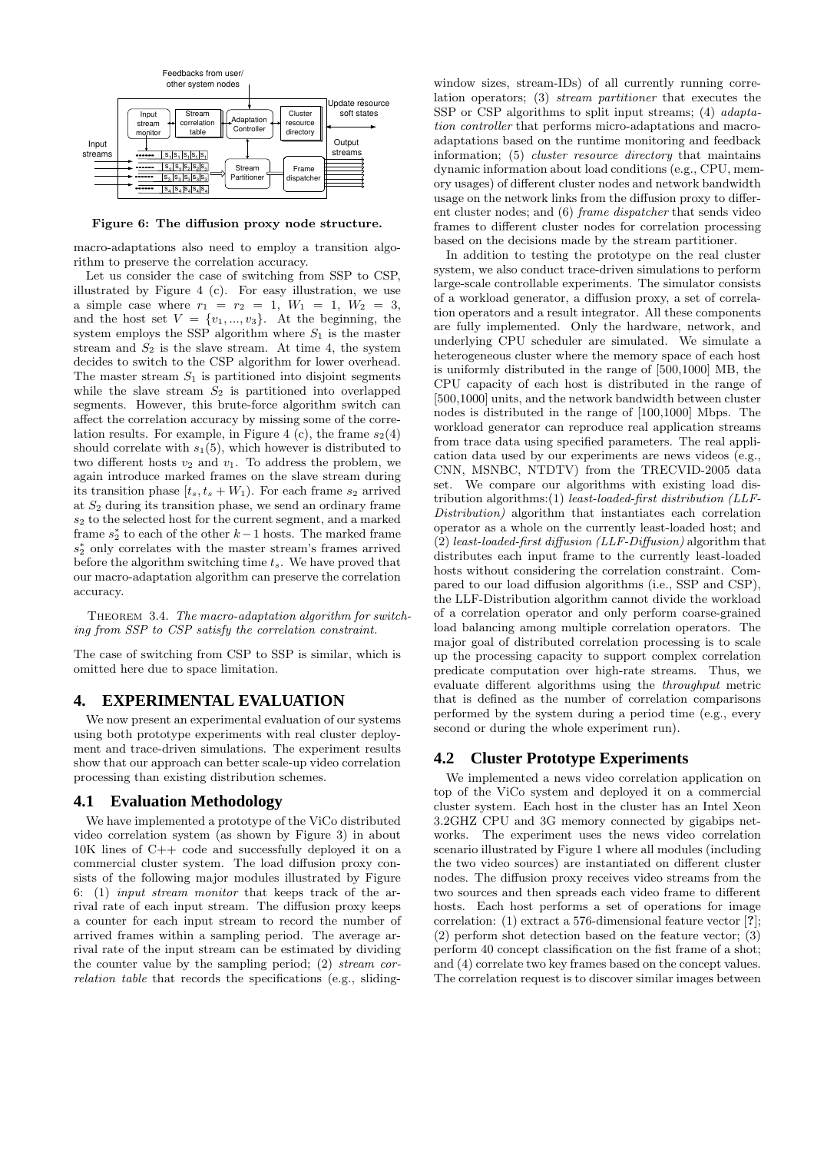

Figure 6: The diffusion proxy node structure.

macro-adaptations also need to employ a transition algorithm to preserve the correlation accuracy.

Let us consider the case of switching from SSP to CSP, illustrated by Figure 4 (c). For easy illustration, we use a simple case where  $r_1 = r_2 = 1$ ,  $W_1 = 1$ ,  $W_2 = 3$ , and the host set  $V = \{v_1, ..., v_3\}$ . At the beginning, the system employs the SSP algorithm where  $S_1$  is the master stream and  $S_2$  is the slave stream. At time 4, the system decides to switch to the CSP algorithm for lower overhead. The master stream  $S_1$  is partitioned into disjoint segments while the slave stream  $S_2$  is partitioned into overlapped segments. However, this brute-force algorithm switch can affect the correlation accuracy by missing some of the correlation results. For example, in Figure 4 (c), the frame  $s_2(4)$ should correlate with  $s_1(5)$ , which however is distributed to two different hosts  $v_2$  and  $v_1$ . To address the problem, we again introduce marked frames on the slave stream during its transition phase  $[t_s, t_s + W_1)$ . For each frame  $s_2$  arrived at  $S_2$  during its transition phase, we send an ordinary frame  $s_2$  to the selected host for the current segment, and a marked frame  $s_2^*$  to each of the other  $k-1$  hosts. The marked frame  $s_2^*$  only correlates with the master stream's frames arrived before the algorithm switching time  $t_s$ . We have proved that our macro-adaptation algorithm can preserve the correlation accuracy.

THEOREM 3.4. The macro-adaptation algorithm for switching from SSP to CSP satisfy the correlation constraint.

The case of switching from CSP to SSP is similar, which is omitted here due to space limitation.

#### **4. EXPERIMENTAL EVALUATION**

We now present an experimental evaluation of our systems using both prototype experiments with real cluster deployment and trace-driven simulations. The experiment results show that our approach can better scale-up video correlation processing than existing distribution schemes.

#### **4.1 Evaluation Methodology**

We have implemented a prototype of the ViCo distributed video correlation system (as shown by Figure 3) in about 10K lines of C++ code and successfully deployed it on a commercial cluster system. The load diffusion proxy consists of the following major modules illustrated by Figure 6: (1) input stream monitor that keeps track of the arrival rate of each input stream. The diffusion proxy keeps a counter for each input stream to record the number of arrived frames within a sampling period. The average arrival rate of the input stream can be estimated by dividing the counter value by the sampling period; (2) stream correlation table that records the specifications (e.g., slidingwindow sizes, stream-IDs) of all currently running correlation operators; (3) stream partitioner that executes the SSP or CSP algorithms to split input streams; (4) *adapta*tion controller that performs micro-adaptations and macroadaptations based on the runtime monitoring and feedback information; (5) *cluster resource directory* that maintains dynamic information about load conditions (e.g., CPU, memory usages) of different cluster nodes and network bandwidth usage on the network links from the diffusion proxy to different cluster nodes; and (6) frame dispatcher that sends video frames to different cluster nodes for correlation processing based on the decisions made by the stream partitioner.

In addition to testing the prototype on the real cluster system, we also conduct trace-driven simulations to perform large-scale controllable experiments. The simulator consists of a workload generator, a diffusion proxy, a set of correlation operators and a result integrator. All these components are fully implemented. Only the hardware, network, and underlying CPU scheduler are simulated. We simulate a heterogeneous cluster where the memory space of each host is uniformly distributed in the range of [500,1000] MB, the CPU capacity of each host is distributed in the range of [500,1000] units, and the network bandwidth between cluster nodes is distributed in the range of [100,1000] Mbps. The workload generator can reproduce real application streams from trace data using specified parameters. The real application data used by our experiments are news videos (e.g., CNN, MSNBC, NTDTV) from the TRECVID-2005 data set. We compare our algorithms with existing load distribution algorithms:(1) least-loaded-first distribution (LLF-Distribution) algorithm that instantiates each correlation operator as a whole on the currently least-loaded host; and  $(2)$  least-loaded-first diffusion (LLF-Diffusion) algorithm that distributes each input frame to the currently least-loaded hosts without considering the correlation constraint. Compared to our load diffusion algorithms (i.e., SSP and CSP), the LLF-Distribution algorithm cannot divide the workload of a correlation operator and only perform coarse-grained load balancing among multiple correlation operators. The major goal of distributed correlation processing is to scale up the processing capacity to support complex correlation predicate computation over high-rate streams. Thus, we evaluate different algorithms using the throughput metric that is defined as the number of correlation comparisons performed by the system during a period time (e.g., every second or during the whole experiment run).

#### **4.2 Cluster Prototype Experiments**

We implemented a news video correlation application on top of the ViCo system and deployed it on a commercial cluster system. Each host in the cluster has an Intel Xeon 3.2GHZ CPU and 3G memory connected by gigabips networks. The experiment uses the news video correlation scenario illustrated by Figure 1 where all modules (including the two video sources) are instantiated on different cluster nodes. The diffusion proxy receives video streams from the two sources and then spreads each video frame to different hosts. Each host performs a set of operations for image correlation: (1) extract a 576-dimensional feature vector [?]; (2) perform shot detection based on the feature vector; (3) perform 40 concept classification on the fist frame of a shot; and (4) correlate two key frames based on the concept values. The correlation request is to discover similar images between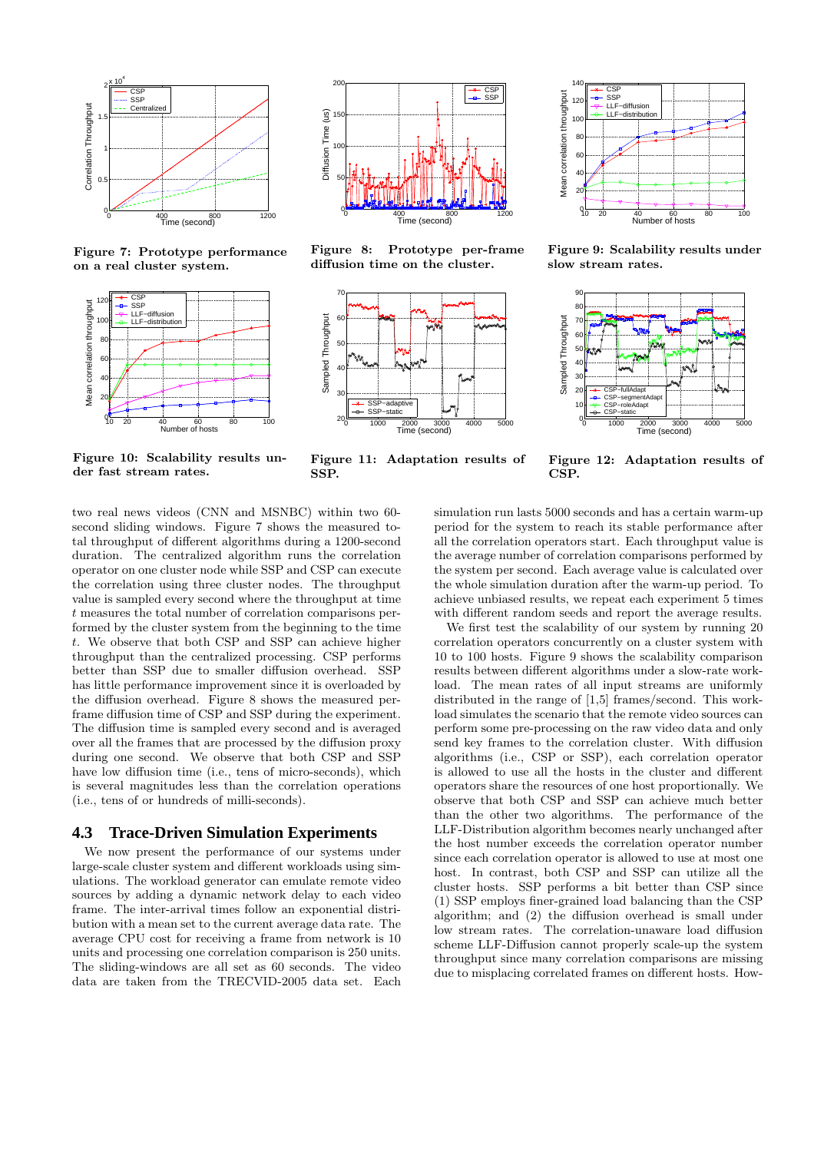

Figure 7: Prototype performance on a real cluster system.



Figure 10: Scalability results under fast stream rates.



Figure 8: Prototype per-frame diffusion time on the cluster.





Figure 9: Scalability results under slow stream rates.



Figure 11: Adaptation results of SSP.

Figure 12: Adaptation results of CSP.

two real news videos (CNN and MSNBC) within two 60 second sliding windows. Figure 7 shows the measured total throughput of different algorithms during a 1200-second duration. The centralized algorithm runs the correlation operator on one cluster node while SSP and CSP can execute the correlation using three cluster nodes. The throughput value is sampled every second where the throughput at time t measures the total number of correlation comparisons performed by the cluster system from the beginning to the time t. We observe that both CSP and SSP can achieve higher throughput than the centralized processing. CSP performs better than SSP due to smaller diffusion overhead. SSP has little performance improvement since it is overloaded by the diffusion overhead. Figure 8 shows the measured perframe diffusion time of CSP and SSP during the experiment. The diffusion time is sampled every second and is averaged over all the frames that are processed by the diffusion proxy during one second. We observe that both CSP and SSP have low diffusion time (i.e., tens of micro-seconds), which is several magnitudes less than the correlation operations (i.e., tens of or hundreds of milli-seconds).

# **4.3 Trace-Driven Simulation Experiments**

We now present the performance of our systems under large-scale cluster system and different workloads using simulations. The workload generator can emulate remote video sources by adding a dynamic network delay to each video frame. The inter-arrival times follow an exponential distribution with a mean set to the current average data rate. The average CPU cost for receiving a frame from network is 10 units and processing one correlation comparison is 250 units. The sliding-windows are all set as 60 seconds. The video data are taken from the TRECVID-2005 data set. Each simulation run lasts 5000 seconds and has a certain warm-up period for the system to reach its stable performance after all the correlation operators start. Each throughput value is the average number of correlation comparisons performed by the system per second. Each average value is calculated over the whole simulation duration after the warm-up period. To achieve unbiased results, we repeat each experiment 5 times with different random seeds and report the average results.

We first test the scalability of our system by running 20 correlation operators concurrently on a cluster system with 10 to 100 hosts. Figure 9 shows the scalability comparison results between different algorithms under a slow-rate workload. The mean rates of all input streams are uniformly distributed in the range of [1,5] frames/second. This workload simulates the scenario that the remote video sources can perform some pre-processing on the raw video data and only send key frames to the correlation cluster. With diffusion algorithms (i.e., CSP or SSP), each correlation operator is allowed to use all the hosts in the cluster and different operators share the resources of one host proportionally. We observe that both CSP and SSP can achieve much better than the other two algorithms. The performance of the LLF-Distribution algorithm becomes nearly unchanged after the host number exceeds the correlation operator number since each correlation operator is allowed to use at most one host. In contrast, both CSP and SSP can utilize all the cluster hosts. SSP performs a bit better than CSP since (1) SSP employs finer-grained load balancing than the CSP algorithm; and (2) the diffusion overhead is small under low stream rates. The correlation-unaware load diffusion scheme LLF-Diffusion cannot properly scale-up the system throughput since many correlation comparisons are missing due to misplacing correlated frames on different hosts. How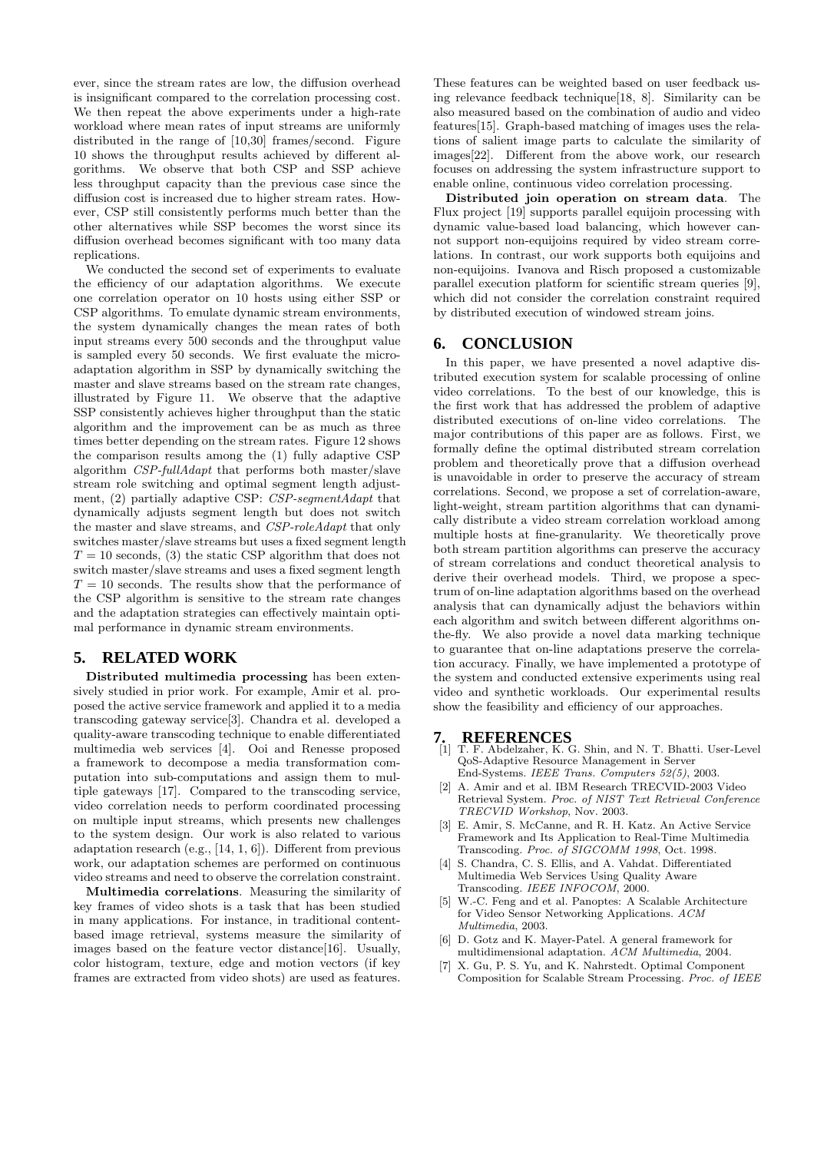ever, since the stream rates are low, the diffusion overhead is insignificant compared to the correlation processing cost. We then repeat the above experiments under a high-rate workload where mean rates of input streams are uniformly distributed in the range of [10,30] frames/second. Figure 10 shows the throughput results achieved by different algorithms. We observe that both CSP and SSP achieve less throughput capacity than the previous case since the diffusion cost is increased due to higher stream rates. However, CSP still consistently performs much better than the other alternatives while SSP becomes the worst since its diffusion overhead becomes significant with too many data replications.

We conducted the second set of experiments to evaluate the efficiency of our adaptation algorithms. We execute one correlation operator on 10 hosts using either SSP or CSP algorithms. To emulate dynamic stream environments, the system dynamically changes the mean rates of both input streams every 500 seconds and the throughput value is sampled every 50 seconds. We first evaluate the microadaptation algorithm in SSP by dynamically switching the master and slave streams based on the stream rate changes, illustrated by Figure 11. We observe that the adaptive SSP consistently achieves higher throughput than the static algorithm and the improvement can be as much as three times better depending on the stream rates. Figure 12 shows the comparison results among the (1) fully adaptive CSP algorithm CSP-fullAdapt that performs both master/slave stream role switching and optimal segment length adjustment, (2) partially adaptive CSP: CSP-segmentAdapt that dynamically adjusts segment length but does not switch the master and slave streams, and CSP-roleAdapt that only switches master/slave streams but uses a fixed segment length  $T = 10$  seconds, (3) the static CSP algorithm that does not switch master/slave streams and uses a fixed segment length  $T = 10$  seconds. The results show that the performance of the CSP algorithm is sensitive to the stream rate changes and the adaptation strategies can effectively maintain optimal performance in dynamic stream environments.

# **5. RELATED WORK**

Distributed multimedia processing has been extensively studied in prior work. For example, Amir et al. proposed the active service framework and applied it to a media transcoding gateway service[3]. Chandra et al. developed a quality-aware transcoding technique to enable differentiated multimedia web services [4]. Ooi and Renesse proposed a framework to decompose a media transformation computation into sub-computations and assign them to multiple gateways [17]. Compared to the transcoding service, video correlation needs to perform coordinated processing on multiple input streams, which presents new challenges to the system design. Our work is also related to various adaptation research (e.g., [14, 1, 6]). Different from previous work, our adaptation schemes are performed on continuous video streams and need to observe the correlation constraint.

Multimedia correlations. Measuring the similarity of key frames of video shots is a task that has been studied in many applications. For instance, in traditional contentbased image retrieval, systems measure the similarity of images based on the feature vector distance[16]. Usually, color histogram, texture, edge and motion vectors (if key frames are extracted from video shots) are used as features.

These features can be weighted based on user feedback using relevance feedback technique[18, 8]. Similarity can be also measured based on the combination of audio and video features[15]. Graph-based matching of images uses the relations of salient image parts to calculate the similarity of images[22]. Different from the above work, our research focuses on addressing the system infrastructure support to enable online, continuous video correlation processing.

Distributed join operation on stream data. The Flux project [19] supports parallel equijoin processing with dynamic value-based load balancing, which however cannot support non-equijoins required by video stream correlations. In contrast, our work supports both equijoins and non-equijoins. Ivanova and Risch proposed a customizable parallel execution platform for scientific stream queries [9], which did not consider the correlation constraint required by distributed execution of windowed stream joins.

# **6. CONCLUSION**

In this paper, we have presented a novel adaptive distributed execution system for scalable processing of online video correlations. To the best of our knowledge, this is the first work that has addressed the problem of adaptive distributed executions of on-line video correlations. The major contributions of this paper are as follows. First, we formally define the optimal distributed stream correlation problem and theoretically prove that a diffusion overhead is unavoidable in order to preserve the accuracy of stream correlations. Second, we propose a set of correlation-aware, light-weight, stream partition algorithms that can dynamically distribute a video stream correlation workload among multiple hosts at fine-granularity. We theoretically prove both stream partition algorithms can preserve the accuracy of stream correlations and conduct theoretical analysis to derive their overhead models. Third, we propose a spectrum of on-line adaptation algorithms based on the overhead analysis that can dynamically adjust the behaviors within each algorithm and switch between different algorithms onthe-fly. We also provide a novel data marking technique to guarantee that on-line adaptations preserve the correlation accuracy. Finally, we have implemented a prototype of the system and conducted extensive experiments using real video and synthetic workloads. Our experimental results show the feasibility and efficiency of our approaches.

#### **7. REFERENCES**

- [1] T. F. Abdelzaher, K. G. Shin, and N. T. Bhatti. User-Level QoS-Adaptive Resource Management in Server End-Systems. IEEE Trans. Computers 52(5), 2003.
- [2] A. Amir and et al. IBM Research TRECVID-2003 Video Retrieval System. Proc. of NIST Text Retrieval Conference TRECVID Workshop, Nov. 2003.
- [3] E. Amir, S. McCanne, and R. H. Katz. An Active Service Framework and Its Application to Real-Time Multimedia Transcoding. Proc. of SIGCOMM 1998, Oct. 1998.
- [4] S. Chandra, C. S. Ellis, and A. Vahdat. Differentiated Multimedia Web Services Using Quality Aware Transcoding. IEEE INFOCOM, 2000.
- W.-C. Feng and et al. Panoptes: A Scalable Architecture for Video Sensor Networking Applications. ACM Multimedia, 2003.
- [6] D. Gotz and K. Mayer-Patel. A general framework for multidimensional adaptation. ACM Multimedia, 2004.
- [7] X. Gu, P. S. Yu, and K. Nahrstedt. Optimal Component Composition for Scalable Stream Processing. Proc. of IEEE